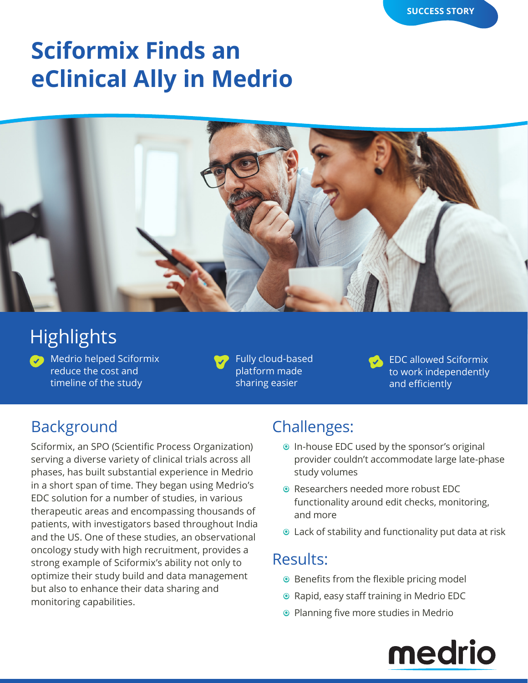# **Sciformix Finds an eClinical Ally in Medrio**



# **Highlights**

**Medrio helped Sciformix** reduce the cost and timeline of the study

Fully cloud-based platform made sharing easier

EDC allowed Sciformix to work independently and efficiently

## **Background**

Sciformix, an SPO (Scientific Process Organization) serving a diverse variety of clinical trials across all phases, has built substantial experience in Medrio in a short span of time. They began using Medrio's EDC solution for a number of studies, in various therapeutic areas and encompassing thousands of patients, with investigators based throughout India and the US. One of these studies, an observational oncology study with high recruitment, provides a strong example of Sciformix's ability not only to optimize their study build and data management but also to enhance their data sharing and monitoring capabilities.

### Challenges:

- **•** In-house EDC used by the sponsor's original provider couldn't accommodate large late-phase study volumes
- **Researchers needed more robust EDC** functionality around edit checks, monitoring, and more
- $\odot$  Lack of stability and functionality put data at risk

#### Results:

- <sup>O</sup> Benefits from the flexible pricing model
- **•** Rapid, easy staff training in Medrio EDC
- <sup>O</sup> Planning five more studies in Medrio

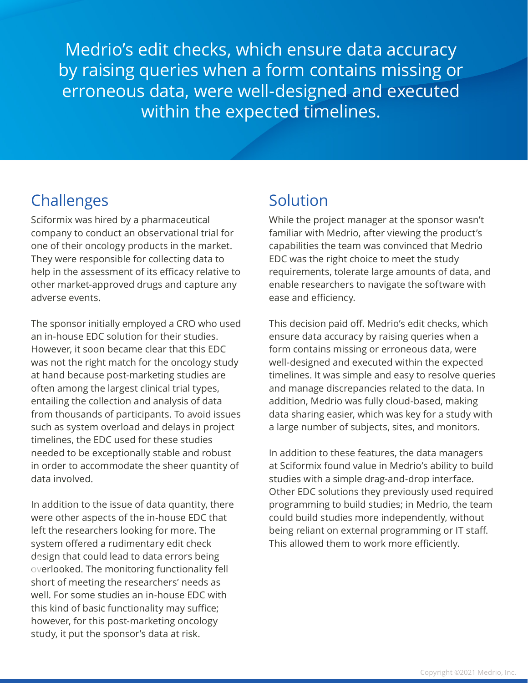Medrio's edit checks, which ensure data accuracy by raising queries when a form contains missing or erroneous data, were well-designed and executed within the expected timelines.

## Challenges Solution

Sciformix was hired by a pharmaceutical company to conduct an observational trial for one of their oncology products in the market. They were responsible for collecting data to help in the assessment of its efficacy relative to other market-approved drugs and capture any adverse events.

The sponsor initially employed a CRO who used an in-house EDC solution for their studies. However, it soon became clear that this EDC was not the right match for the oncology study at hand because post-marketing studies are often among the largest clinical trial types, entailing the collection and analysis of data from thousands of participants. To avoid issues such as system overload and delays in project timelines, the EDC used for these studies needed to be exceptionally stable and robust in order to accommodate the sheer quantity of data involved.

In addition to the issue of data quantity, there were other aspects of the in-house EDC that left the researchers looking for more. The system offered a rudimentary edit check design that could lead to data errors being overlooked. The monitoring functionality fell short of meeting the researchers' needs as well. For some studies an in-house EDC with this kind of basic functionality may suffice; however, for this post-marketing oncology study, it put the sponsor's data at risk.

While the project manager at the sponsor wasn't familiar with Medrio, after viewing the product's capabilities the team was convinced that Medrio EDC was the right choice to meet the study requirements, tolerate large amounts of data, and enable researchers to navigate the software with ease and efficiency.

This decision paid off. Medrio's edit checks, which ensure data accuracy by raising queries when a form contains missing or erroneous data, were well-designed and executed within the expected timelines. It was simple and easy to resolve queries and manage discrepancies related to the data. In addition, Medrio was fully cloud-based, making data sharing easier, which was key for a study with a large number of subjects, sites, and monitors.

In addition to these features, the data managers at Sciformix found value in Medrio's ability to build studies with a simple drag-and-drop interface. Other EDC solutions they previously used required programming to build studies; in Medrio, the team could build studies more independently, without being reliant on external programming or IT staff. This allowed them to work more efficiently.